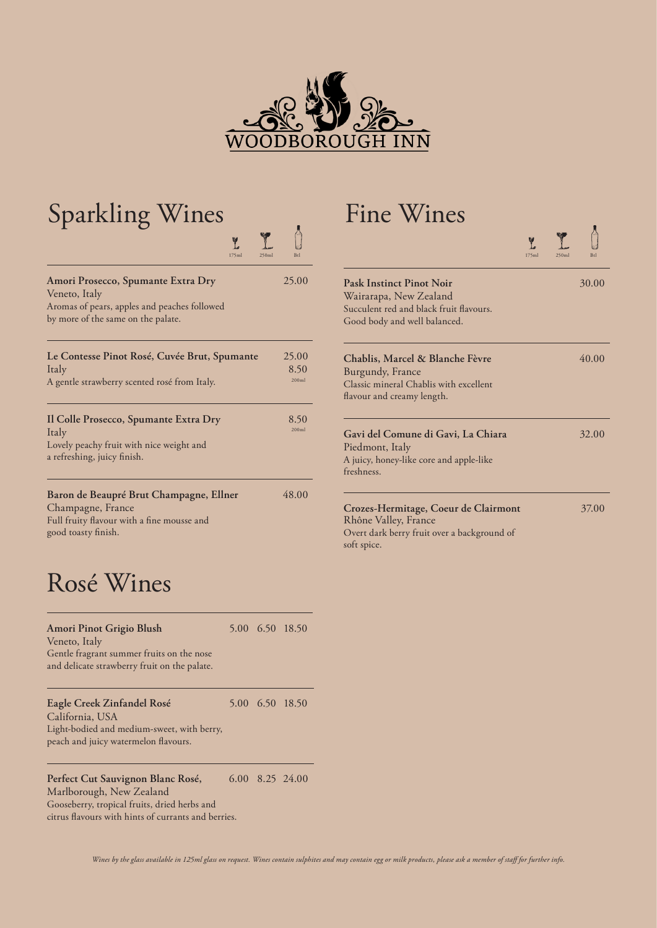

| <b>Sparkling Wines</b><br>Y.                                                                                                              |                        |
|-------------------------------------------------------------------------------------------------------------------------------------------|------------------------|
| 175ml<br>250m                                                                                                                             |                        |
| Amori Prosecco, Spumante Extra Dry<br>Veneto, Italy<br>Aromas of pears, apples and peaches followed<br>by more of the same on the palate. | 25.00                  |
| Le Contesse Pinot Rosé, Cuvée Brut, Spumante<br>Italy<br>A gentle strawberry scented rosé from Italy.                                     | 25.00<br>8.50<br>200ml |
| Il Colle Prosecco, Spumante Extra Dry<br>Italy<br>Lovely peachy fruit with nice weight and<br>a refreshing, juicy finish.                 | 8.50<br>200m           |
| Baron de Beaupré Brut Champagne, Ellner<br>Champagne, France<br>Full fruity flavour with a fine mousse and<br>good toasty finish.         | 48.00                  |

## Rosé Wines

| Amori Pinot Grigio Blush<br>Veneto, Italy<br>Gentle fragrant summer fruits on the nose<br>and delicate strawberry fruit on the palate. |  | 5.00 6.50 18.50 |
|----------------------------------------------------------------------------------------------------------------------------------------|--|-----------------|
| Eagle Creek Zinfandel Rosé<br>California, USA<br>Light-bodied and medium-sweet, with berry,<br>peach and juicy watermelon flavours.    |  | 5.00 6.50 18.50 |
| Perfect Cut Sauvignon Blanc Rosé,<br>Marlborough New Zealand                                                                           |  | 6.00 8.25 24.00 |

Marlborough, New Zealand Gooseberry, tropical fruits, dried herbs and citrus flavours with hints of currants and berries.

## Fine Wines

| L<br>175ml<br>250ml | Btl                    |                                                                                                                                      | Y<br>علا<br>175ml | 250ml | Btl   |
|---------------------|------------------------|--------------------------------------------------------------------------------------------------------------------------------------|-------------------|-------|-------|
|                     | 25.00                  | <b>Pask Instinct Pinot Noir</b><br>Wairarapa, New Zealand<br>Succulent red and black fruit flavours.<br>Good body and well balanced. |                   |       | 30.00 |
| mante               | 25.00<br>8.50<br>200ml | Chablis, Marcel & Blanche Fèvre<br>Burgundy, France<br>Classic mineral Chablis with excellent<br>flavour and creamy length.          |                   |       | 40.00 |
|                     | 8.50<br>200ml          | Gavi del Comune di Gavi, La Chiara<br>Piedmont, Italy<br>A juicy, honey-like core and apple-like<br>freshness.                       |                   |       | 32.00 |
| er                  | 48.00                  | Crozes-Hermitage, Coeur de Clairmont<br>Rhône Valley, France<br>Overt dark berry fruit over a background of<br>soft spice.           |                   |       | 37.00 |

 $\Delta$ 

 $\frac{1}{2}$ 

*Wines by the glass available in 125ml glass on request. Wines contain sulphites and may contain egg or milk products, please ask a member of staff for further info.*